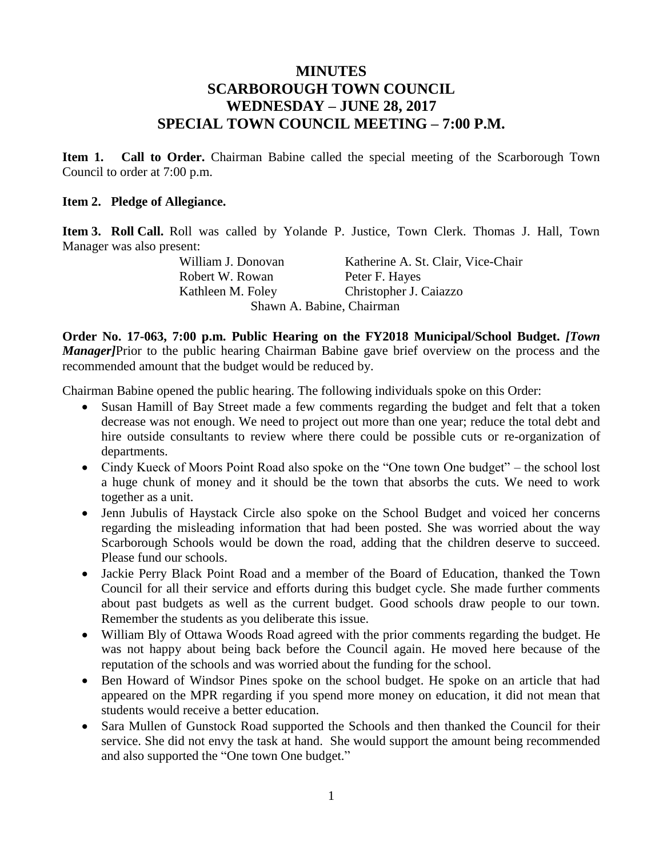## **MINUTES SCARBOROUGH TOWN COUNCIL WEDNESDAY – JUNE 28, 2017 SPECIAL TOWN COUNCIL MEETING – 7:00 P.M.**

**Item 1. Call to Order.** Chairman Babine called the special meeting of the Scarborough Town Council to order at 7:00 p.m.

## **Item 2. Pledge of Allegiance.**

**Item 3. Roll Call.** Roll was called by Yolande P. Justice, Town Clerk. Thomas J. Hall, Town Manager was also present:

William J. Donovan Katherine A. St. Clair, Vice-Chair Robert W. Rowan Peter F. Hayes Kathleen M. Foley Christopher J. Caiazzo Shawn A. Babine, Chairman

**Order No. 17-063, 7:00 p.m. Public Hearing on the FY2018 Municipal/School Budget.** *[Town Manager]*Prior to the public hearing Chairman Babine gave brief overview on the process and the recommended amount that the budget would be reduced by.

Chairman Babine opened the public hearing. The following individuals spoke on this Order:

- Susan Hamill of Bay Street made a few comments regarding the budget and felt that a token decrease was not enough. We need to project out more than one year; reduce the total debt and hire outside consultants to review where there could be possible cuts or re-organization of departments.
- Cindy Kueck of Moors Point Road also spoke on the "One town One budget" the school lost a huge chunk of money and it should be the town that absorbs the cuts. We need to work together as a unit.
- Jenn Jubulis of Haystack Circle also spoke on the School Budget and voiced her concerns regarding the misleading information that had been posted. She was worried about the way Scarborough Schools would be down the road, adding that the children deserve to succeed. Please fund our schools.
- Jackie Perry Black Point Road and a member of the Board of Education, thanked the Town Council for all their service and efforts during this budget cycle. She made further comments about past budgets as well as the current budget. Good schools draw people to our town. Remember the students as you deliberate this issue.
- William Bly of Ottawa Woods Road agreed with the prior comments regarding the budget. He was not happy about being back before the Council again. He moved here because of the reputation of the schools and was worried about the funding for the school.
- Ben Howard of Windsor Pines spoke on the school budget. He spoke on an article that had appeared on the MPR regarding if you spend more money on education, it did not mean that students would receive a better education.
- Sara Mullen of Gunstock Road supported the Schools and then thanked the Council for their service. She did not envy the task at hand. She would support the amount being recommended and also supported the "One town One budget."